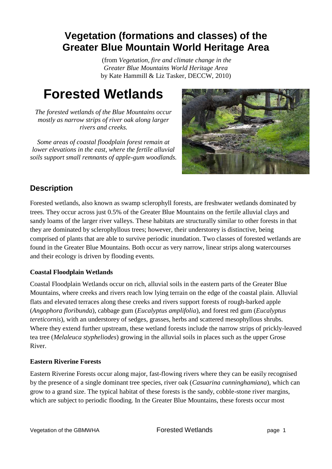## **Vegetation (formations and classes) of the Greater Blue Mountain World Heritage Area**

(from *Vegetation, fire and climate change in the Greater Blue Mountains World Heritage Area* by Kate Hammill & Liz Tasker, DECCW, 2010)

# **Forested Wetlands**

*The forested wetlands of the Blue Mountains occur mostly as narrow strips of river oak along larger rivers and creeks.*

*Some areas of coastal floodplain forest remain at lower elevations in the east, where the fertile alluvial soils support small remnants of apple-gum woodlands.*



### **Description**

Forested wetlands, also known as swamp sclerophyll forests, are freshwater wetlands dominated by trees. They occur across just 0.5% of the Greater Blue Mountains on the fertile alluvial clays and sandy loams of the larger river valleys. These habitats are structurally similar to other forests in that they are dominated by sclerophyllous trees; however, their understorey is distinctive, being comprised of plants that are able to survive periodic inundation. Two classes of forested wetlands are found in the Greater Blue Mountains. Both occur as very narrow, linear strips along watercourses and their ecology is driven by flooding events.

#### **Coastal Floodplain Wetlands**

Coastal Floodplain Wetlands occur on rich, alluvial soils in the eastern parts of the Greater Blue Mountains, where creeks and rivers reach low lying terrain on the edge of the coastal plain. Alluvial flats and elevated terraces along these creeks and rivers support forests of rough-barked apple (*Angophora floribunda*), cabbage gum (*Eucalyptus amplifolia*), and forest red gum (*Eucalyptus tereticornis*), with an understorey of sedges, grasses, herbs and scattered mesophyllous shrubs. Where they extend further upstream, these wetland forests include the narrow strips of prickly-leaved tea tree (*Melaleuca stypheliodes*) growing in the alluvial soils in places such as the upper Grose River.

#### **Eastern Riverine Forests**

Eastern Riverine Forests occur along major, fast-flowing rivers where they can be easily recognised by the presence of a single dominant tree species, river oak (*Casuarina cunninghamiana*), which can grow to a grand size. The typical habitat of these forests is the sandy, cobble-stone river margins, which are subject to periodic flooding. In the Greater Blue Mountains, these forests occur most